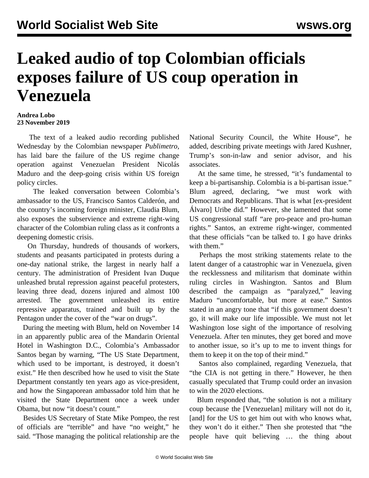## **Leaked audio of top Colombian officials exposes failure of US coup operation in Venezuela**

## **Andrea Lobo 23 November 2019**

 The text of a leaked audio recording published Wednesday by the Colombian newspaper *Publimetro,* has laid bare the failure of the US regime change operation against Venezuelan President Nicolás Maduro and the deep-going crisis within US foreign policy circles.

 The leaked conversation between Colombia's ambassador to the US, Francisco Santos Calderón, and the country's incoming foreign minister, Claudia Blum, also exposes the subservience and extreme right-wing character of the Colombian ruling class as it confronts a deepening domestic crisis.

 On Thursday, hundreds of thousands of workers, students and peasants participated in protests during a one-day national strike, the largest in nearly half a century. The administration of President Ivan Duque unleashed brutal repression against peaceful protesters, leaving three dead, dozens injured and almost 100 arrested. The government unleashed its entire repressive apparatus, trained and built up by the Pentagon under the cover of the "war on drugs".

 During the meeting with Blum, held on November 14 in an apparently public area of the Mandarin Oriental Hotel in Washington D.C., Colombia's Ambassador Santos began by warning, "The US State Department, which used to be important, is destroyed, it doesn't exist." He then described how he used to visit the State Department constantly ten years ago as vice-president, and how the Singaporean ambassador told him that he visited the State Department once a week under Obama, but now "it doesn't count."

 Besides US Secretary of State Mike Pompeo, the rest of officials are "terrible" and have "no weight," he said. "Those managing the political relationship are the

National Security Council, the White House", he added, describing private meetings with Jared Kushner, Trump's son-in-law and senior advisor, and his associates.

 At the same time, he stressed, "it's fundamental to keep a bi-partisanship. Colombia is a bi-partisan issue." Blum agreed, declaring, "we must work with Democrats and Republicans. That is what [ex-president Álvaro] Uribe did." However, she lamented that some US congressional staff "are pro-peace and pro-human rights." Santos, an extreme right-winger, commented that these officials "can be talked to. I go have drinks with them."

 Perhaps the most striking statements relate to the latent danger of a catastrophic war in Venezuela, given the recklessness and militarism that dominate within ruling circles in Washington. Santos and Blum described the campaign as "paralyzed," leaving Maduro "uncomfortable, but more at ease." Santos stated in an angry tone that "if this government doesn't go, it will make our life impossible. We must not let Washington lose sight of the importance of resolving Venezuela. After ten minutes, they get bored and move to another issue, so it's up to me to invent things for them to keep it on the top of their mind."

 Santos also complained, regarding Venezuela, that "the CIA is not getting in there." However, he then casually speculated that Trump could order an invasion to win the 2020 elections.

 Blum responded that, "the solution is not a military coup because the [Venezuelan] military will not do it, [and] for the US to get him out with who knows what, they won't do it either." Then she protested that "the people have quit believing … the thing about